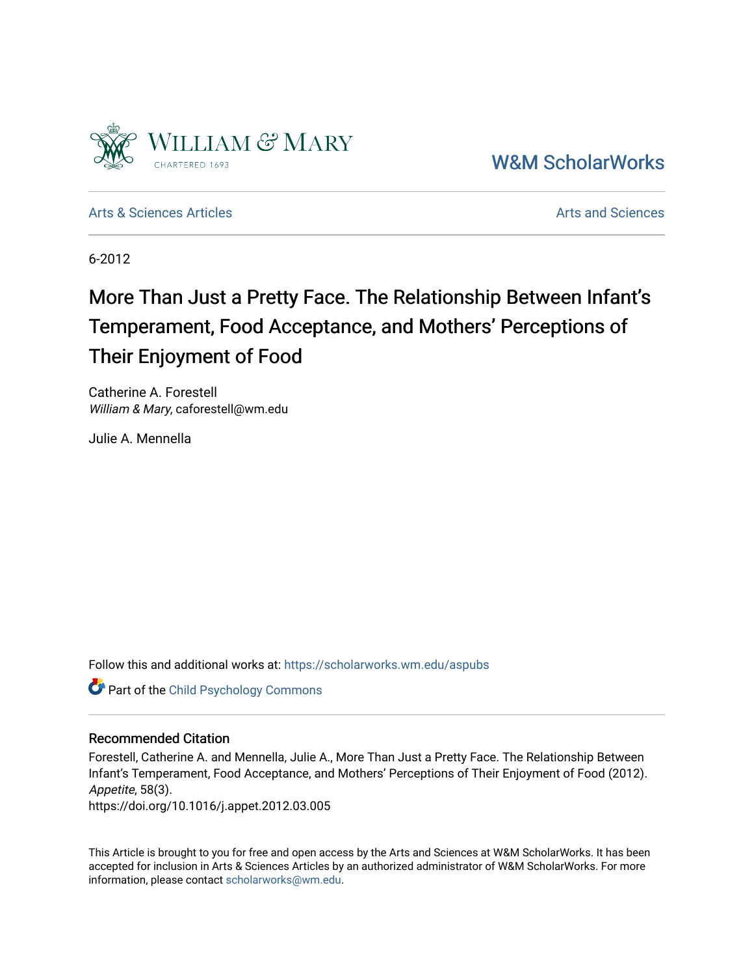

[W&M ScholarWorks](https://scholarworks.wm.edu/) 

[Arts & Sciences Articles](https://scholarworks.wm.edu/aspubs) **Articles** [Arts and Sciences](https://scholarworks.wm.edu/as) Articles Arts and Sciences Arts and Sciences Articles **Arts** and Sciences Articles **Arts** and Sciences **Arts** and Sciences **Arts** and Sciences **Arts** and Sciences **Arts** 

6-2012

# More Than Just a Pretty Face. The Relationship Between Infant's Temperament, Food Acceptance, and Mothers' Perceptions of Their Enjoyment of Food

Catherine A. Forestell William & Mary, caforestell@wm.edu

Julie A. Mennella

Follow this and additional works at: [https://scholarworks.wm.edu/aspubs](https://scholarworks.wm.edu/aspubs?utm_source=scholarworks.wm.edu%2Faspubs%2F2036&utm_medium=PDF&utm_campaign=PDFCoverPages) 

Part of the [Child Psychology Commons](http://network.bepress.com/hgg/discipline/1023?utm_source=scholarworks.wm.edu%2Faspubs%2F2036&utm_medium=PDF&utm_campaign=PDFCoverPages) 

#### Recommended Citation

Forestell, Catherine A. and Mennella, Julie A., More Than Just a Pretty Face. The Relationship Between Infant's Temperament, Food Acceptance, and Mothers' Perceptions of Their Enjoyment of Food (2012). Appetite, 58(3). https://doi.org/10.1016/j.appet.2012.03.005

This Article is brought to you for free and open access by the Arts and Sciences at W&M ScholarWorks. It has been accepted for inclusion in Arts & Sciences Articles by an authorized administrator of W&M ScholarWorks. For more information, please contact [scholarworks@wm.edu](mailto:scholarworks@wm.edu).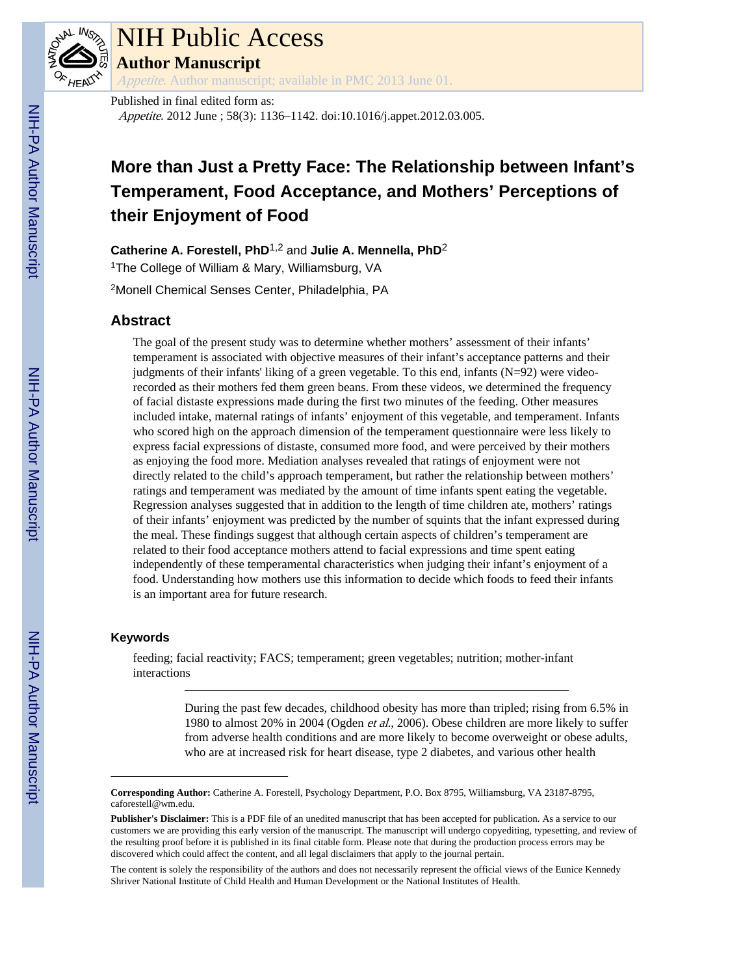

# NIH Public Access

**Author Manuscript**

Appetite. Author manuscript; available in PMC 2013 June 01.

Published in final edited form as: Appetite. 2012 June ; 58(3): 1136–1142. doi:10.1016/j.appet.2012.03.005.

# **More than Just a Pretty Face: The Relationship between Infant's Temperament, Food Acceptance, and Mothers' Perceptions of their Enjoyment of Food**

**Catherine A. Forestell, PhD**1,2 and **Julie A. Mennella, PhD**<sup>2</sup>

<sup>1</sup>The College of William & Mary, Williamsburg, VA

<sup>2</sup>Monell Chemical Senses Center, Philadelphia, PA

## **Abstract**

The goal of the present study was to determine whether mothers' assessment of their infants' temperament is associated with objective measures of their infant's acceptance patterns and their judgments of their infants' liking of a green vegetable. To this end, infants (N=92) were videorecorded as their mothers fed them green beans. From these videos, we determined the frequency of facial distaste expressions made during the first two minutes of the feeding. Other measures included intake, maternal ratings of infants' enjoyment of this vegetable, and temperament. Infants who scored high on the approach dimension of the temperament questionnaire were less likely to express facial expressions of distaste, consumed more food, and were perceived by their mothers as enjoying the food more. Mediation analyses revealed that ratings of enjoyment were not directly related to the child's approach temperament, but rather the relationship between mothers' ratings and temperament was mediated by the amount of time infants spent eating the vegetable. Regression analyses suggested that in addition to the length of time children ate, mothers' ratings of their infants' enjoyment was predicted by the number of squints that the infant expressed during the meal. These findings suggest that although certain aspects of children's temperament are related to their food acceptance mothers attend to facial expressions and time spent eating independently of these temperamental characteristics when judging their infant's enjoyment of a food. Understanding how mothers use this information to decide which foods to feed their infants is an important area for future research.

#### **Keywords**

feeding; facial reactivity; FACS; temperament; green vegetables; nutrition; mother-infant interactions

> During the past few decades, childhood obesity has more than tripled; rising from 6.5% in 1980 to almost 20% in 2004 (Ogden et al., 2006). Obese children are more likely to suffer from adverse health conditions and are more likely to become overweight or obese adults, who are at increased risk for heart disease, type 2 diabetes, and various other health

**Corresponding Author:** Catherine A. Forestell, Psychology Department, P.O. Box 8795, Williamsburg, VA 23187-8795, caforestell@wm.edu.

**Publisher's Disclaimer:** This is a PDF file of an unedited manuscript that has been accepted for publication. As a service to our customers we are providing this early version of the manuscript. The manuscript will undergo copyediting, typesetting, and review of the resulting proof before it is published in its final citable form. Please note that during the production process errors may be discovered which could affect the content, and all legal disclaimers that apply to the journal pertain.

The content is solely the responsibility of the authors and does not necessarily represent the official views of the Eunice Kennedy Shriver National Institute of Child Health and Human Development or the National Institutes of Health.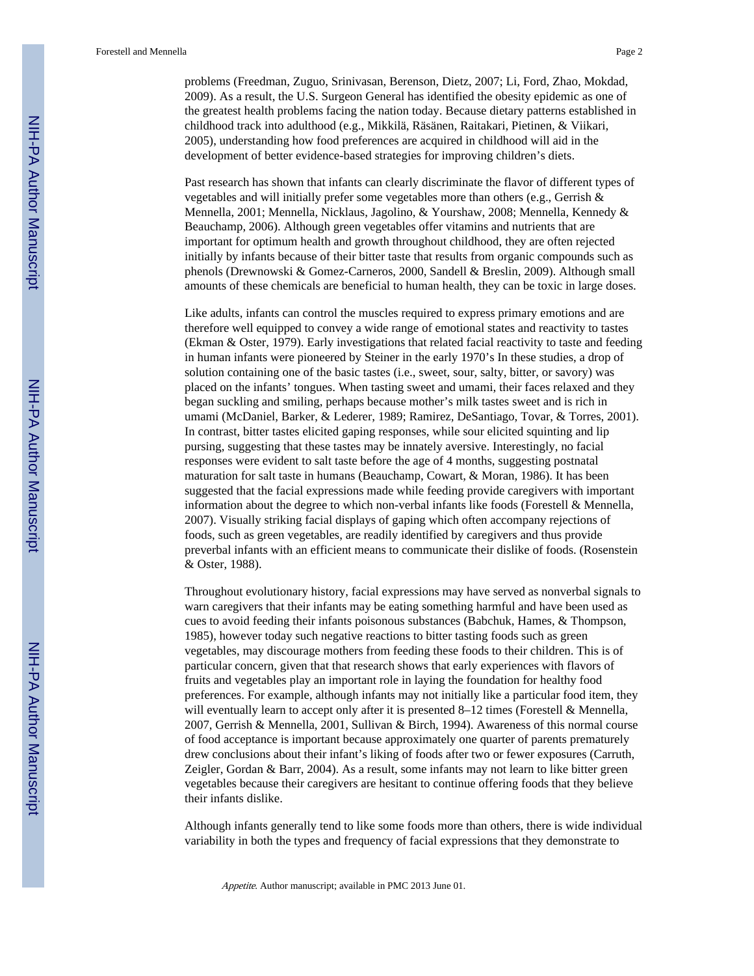problems (Freedman, Zuguo, Srinivasan, Berenson, Dietz, 2007; Li, Ford, Zhao, Mokdad, 2009). As a result, the U.S. Surgeon General has identified the obesity epidemic as one of the greatest health problems facing the nation today. Because dietary patterns established in childhood track into adulthood (e.g., Mikkilä, Räsänen, Raitakari, Pietinen, & Viikari, 2005), understanding how food preferences are acquired in childhood will aid in the development of better evidence-based strategies for improving children's diets.

Past research has shown that infants can clearly discriminate the flavor of different types of vegetables and will initially prefer some vegetables more than others (e.g., Gerrish & Mennella, 2001; Mennella, Nicklaus, Jagolino, & Yourshaw, 2008; Mennella, Kennedy & Beauchamp, 2006). Although green vegetables offer vitamins and nutrients that are important for optimum health and growth throughout childhood, they are often rejected initially by infants because of their bitter taste that results from organic compounds such as phenols (Drewnowski & Gomez-Carneros, 2000, Sandell & Breslin, 2009). Although small amounts of these chemicals are beneficial to human health, they can be toxic in large doses.

Like adults, infants can control the muscles required to express primary emotions and are therefore well equipped to convey a wide range of emotional states and reactivity to tastes (Ekman & Oster, 1979). Early investigations that related facial reactivity to taste and feeding in human infants were pioneered by Steiner in the early 1970's In these studies, a drop of solution containing one of the basic tastes (i.e., sweet, sour, salty, bitter, or savory) was placed on the infants' tongues. When tasting sweet and umami, their faces relaxed and they began suckling and smiling, perhaps because mother's milk tastes sweet and is rich in umami (McDaniel, Barker, & Lederer, 1989; Ramirez, DeSantiago, Tovar, & Torres, 2001). In contrast, bitter tastes elicited gaping responses, while sour elicited squinting and lip pursing, suggesting that these tastes may be innately aversive. Interestingly, no facial responses were evident to salt taste before the age of 4 months, suggesting postnatal maturation for salt taste in humans (Beauchamp, Cowart, & Moran, 1986). It has been suggested that the facial expressions made while feeding provide caregivers with important information about the degree to which non-verbal infants like foods (Forestell & Mennella, 2007). Visually striking facial displays of gaping which often accompany rejections of foods, such as green vegetables, are readily identified by caregivers and thus provide preverbal infants with an efficient means to communicate their dislike of foods. (Rosenstein & Oster, 1988).

Throughout evolutionary history, facial expressions may have served as nonverbal signals to warn caregivers that their infants may be eating something harmful and have been used as cues to avoid feeding their infants poisonous substances (Babchuk, Hames, & Thompson, 1985), however today such negative reactions to bitter tasting foods such as green vegetables, may discourage mothers from feeding these foods to their children. This is of particular concern, given that that research shows that early experiences with flavors of fruits and vegetables play an important role in laying the foundation for healthy food preferences. For example, although infants may not initially like a particular food item, they will eventually learn to accept only after it is presented 8-12 times (Forestell & Mennella, 2007, Gerrish & Mennella, 2001, Sullivan & Birch, 1994). Awareness of this normal course of food acceptance is important because approximately one quarter of parents prematurely drew conclusions about their infant's liking of foods after two or fewer exposures (Carruth, Zeigler, Gordan & Barr, 2004). As a result, some infants may not learn to like bitter green vegetables because their caregivers are hesitant to continue offering foods that they believe their infants dislike.

Although infants generally tend to like some foods more than others, there is wide individual variability in both the types and frequency of facial expressions that they demonstrate to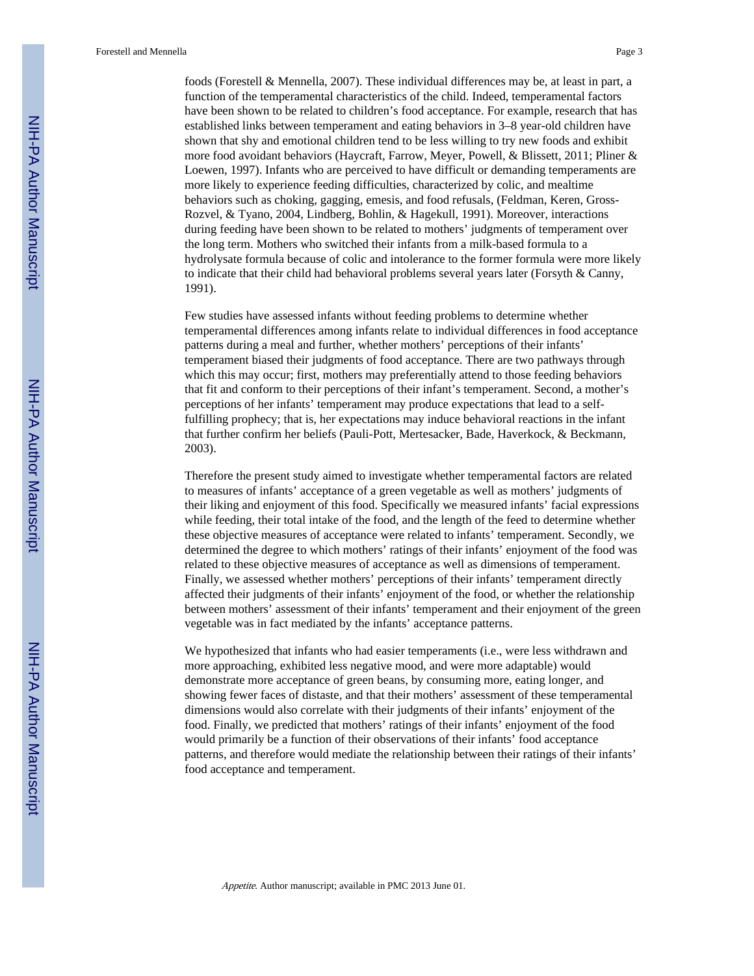foods (Forestell & Mennella, 2007). These individual differences may be, at least in part, a function of the temperamental characteristics of the child. Indeed, temperamental factors have been shown to be related to children's food acceptance. For example, research that has established links between temperament and eating behaviors in 3–8 year-old children have shown that shy and emotional children tend to be less willing to try new foods and exhibit more food avoidant behaviors (Haycraft, Farrow, Meyer, Powell, & Blissett, 2011; Pliner & Loewen, 1997). Infants who are perceived to have difficult or demanding temperaments are more likely to experience feeding difficulties, characterized by colic, and mealtime behaviors such as choking, gagging, emesis, and food refusals, (Feldman, Keren, Gross-Rozvel, & Tyano, 2004, Lindberg, Bohlin, & Hagekull, 1991). Moreover, interactions during feeding have been shown to be related to mothers' judgments of temperament over the long term. Mothers who switched their infants from a milk-based formula to a hydrolysate formula because of colic and intolerance to the former formula were more likely to indicate that their child had behavioral problems several years later (Forsyth & Canny, 1991).

Few studies have assessed infants without feeding problems to determine whether temperamental differences among infants relate to individual differences in food acceptance patterns during a meal and further, whether mothers' perceptions of their infants' temperament biased their judgments of food acceptance. There are two pathways through which this may occur; first, mothers may preferentially attend to those feeding behaviors that fit and conform to their perceptions of their infant's temperament. Second, a mother's perceptions of her infants' temperament may produce expectations that lead to a selffulfilling prophecy; that is, her expectations may induce behavioral reactions in the infant that further confirm her beliefs (Pauli-Pott, Mertesacker, Bade, Haverkock, & Beckmann, 2003).

Therefore the present study aimed to investigate whether temperamental factors are related to measures of infants' acceptance of a green vegetable as well as mothers' judgments of their liking and enjoyment of this food. Specifically we measured infants' facial expressions while feeding, their total intake of the food, and the length of the feed to determine whether these objective measures of acceptance were related to infants' temperament. Secondly, we determined the degree to which mothers' ratings of their infants' enjoyment of the food was related to these objective measures of acceptance as well as dimensions of temperament. Finally, we assessed whether mothers' perceptions of their infants' temperament directly affected their judgments of their infants' enjoyment of the food, or whether the relationship between mothers' assessment of their infants' temperament and their enjoyment of the green vegetable was in fact mediated by the infants' acceptance patterns.

We hypothesized that infants who had easier temperaments (i.e., were less withdrawn and more approaching, exhibited less negative mood, and were more adaptable) would demonstrate more acceptance of green beans, by consuming more, eating longer, and showing fewer faces of distaste, and that their mothers' assessment of these temperamental dimensions would also correlate with their judgments of their infants' enjoyment of the food. Finally, we predicted that mothers' ratings of their infants' enjoyment of the food would primarily be a function of their observations of their infants' food acceptance patterns, and therefore would mediate the relationship between their ratings of their infants' food acceptance and temperament.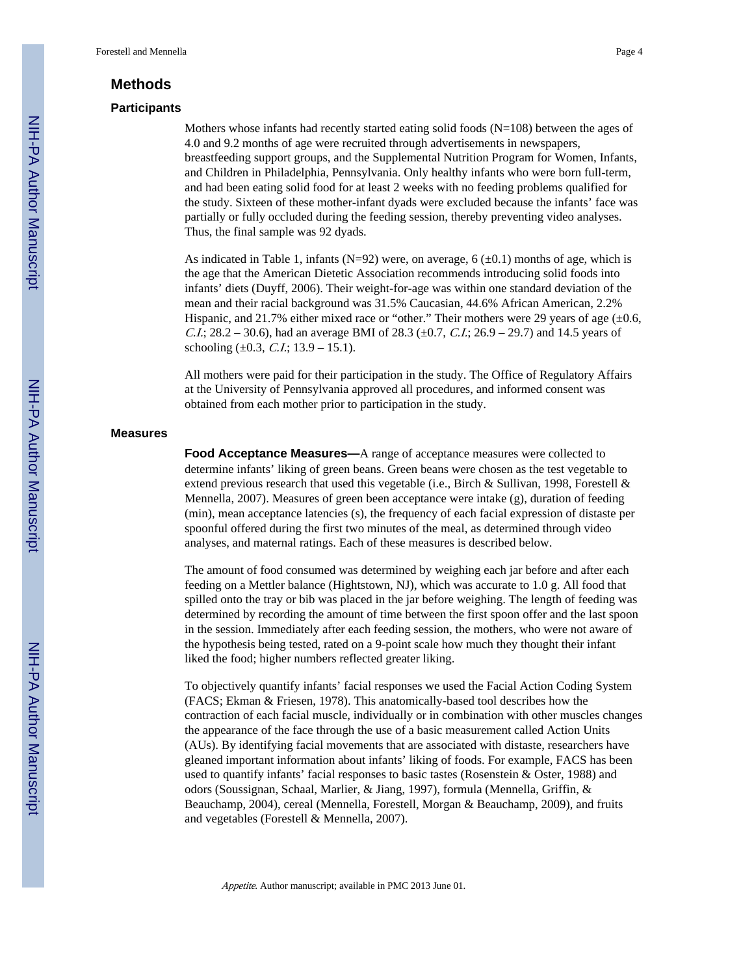#### **Methods**

#### **Participants**

Mothers whose infants had recently started eating solid foods (N=108) between the ages of 4.0 and 9.2 months of age were recruited through advertisements in newspapers, breastfeeding support groups, and the Supplemental Nutrition Program for Women, Infants, and Children in Philadelphia, Pennsylvania. Only healthy infants who were born full-term, and had been eating solid food for at least 2 weeks with no feeding problems qualified for the study. Sixteen of these mother-infant dyads were excluded because the infants' face was partially or fully occluded during the feeding session, thereby preventing video analyses. Thus, the final sample was 92 dyads.

As indicated in Table 1, infants (N=92) were, on average,  $6 \left(\pm 0.1\right)$  months of age, which is the age that the American Dietetic Association recommends introducing solid foods into infants' diets (Duyff, 2006). Their weight-for-age was within one standard deviation of the mean and their racial background was 31.5% Caucasian, 44.6% African American, 2.2% Hispanic, and 21.7% either mixed race or "other." Their mothers were 29 years of age  $(\pm 0.6,$ *C.I.*; 28.2 – 30.6), had an average BMI of 28.3 ( $\pm$ 0.7, *C.I.*; 26.9 – 29.7) and 14.5 years of schooling  $(\pm 0.3, C.I; 13.9 - 15.1)$ .

All mothers were paid for their participation in the study. The Office of Regulatory Affairs at the University of Pennsylvania approved all procedures, and informed consent was obtained from each mother prior to participation in the study.

#### **Measures**

**Food Acceptance Measures—**A range of acceptance measures were collected to determine infants' liking of green beans. Green beans were chosen as the test vegetable to extend previous research that used this vegetable (i.e., Birch & Sullivan, 1998, Forestell & Mennella, 2007). Measures of green been acceptance were intake (g), duration of feeding (min), mean acceptance latencies (s), the frequency of each facial expression of distaste per spoonful offered during the first two minutes of the meal, as determined through video analyses, and maternal ratings. Each of these measures is described below.

The amount of food consumed was determined by weighing each jar before and after each feeding on a Mettler balance (Hightstown, NJ), which was accurate to 1.0 g. All food that spilled onto the tray or bib was placed in the jar before weighing. The length of feeding was determined by recording the amount of time between the first spoon offer and the last spoon in the session. Immediately after each feeding session, the mothers, who were not aware of the hypothesis being tested, rated on a 9-point scale how much they thought their infant liked the food; higher numbers reflected greater liking.

To objectively quantify infants' facial responses we used the Facial Action Coding System (FACS; Ekman & Friesen, 1978). This anatomically-based tool describes how the contraction of each facial muscle, individually or in combination with other muscles changes the appearance of the face through the use of a basic measurement called Action Units (AUs). By identifying facial movements that are associated with distaste, researchers have gleaned important information about infants' liking of foods. For example, FACS has been used to quantify infants' facial responses to basic tastes (Rosenstein & Oster, 1988) and odors (Soussignan, Schaal, Marlier, & Jiang, 1997), formula (Mennella, Griffin, & Beauchamp, 2004), cereal (Mennella, Forestell, Morgan & Beauchamp, 2009), and fruits and vegetables (Forestell & Mennella, 2007).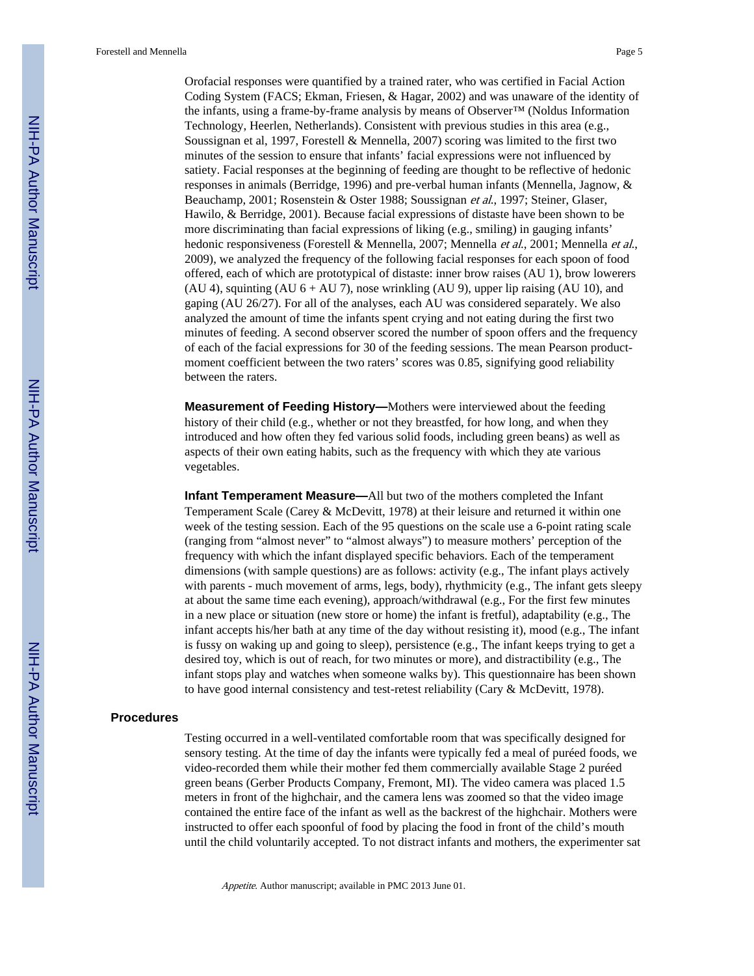Orofacial responses were quantified by a trained rater, who was certified in Facial Action Coding System (FACS; Ekman, Friesen, & Hagar, 2002) and was unaware of the identity of the infants, using a frame-by-frame analysis by means of Observer™ (Noldus Information Technology, Heerlen, Netherlands). Consistent with previous studies in this area (e.g., Soussignan et al, 1997, Forestell & Mennella, 2007) scoring was limited to the first two minutes of the session to ensure that infants' facial expressions were not influenced by satiety. Facial responses at the beginning of feeding are thought to be reflective of hedonic responses in animals (Berridge, 1996) and pre-verbal human infants (Mennella, Jagnow, & Beauchamp, 2001; Rosenstein & Oster 1988; Soussignan et al., 1997; Steiner, Glaser, Hawilo, & Berridge, 2001). Because facial expressions of distaste have been shown to be more discriminating than facial expressions of liking (e.g., smiling) in gauging infants' hedonic responsiveness (Forestell & Mennella, 2007; Mennella et al., 2001; Mennella et al., 2009), we analyzed the frequency of the following facial responses for each spoon of food offered, each of which are prototypical of distaste: inner brow raises (AU 1), brow lowerers  $(AU 4)$ , squinting  $(AU 6 + AU 7)$ , nose wrinkling  $(AU 9)$ , upper lip raising  $(AU 10)$ , and gaping (AU 26/27). For all of the analyses, each AU was considered separately. We also analyzed the amount of time the infants spent crying and not eating during the first two minutes of feeding. A second observer scored the number of spoon offers and the frequency of each of the facial expressions for 30 of the feeding sessions. The mean Pearson productmoment coefficient between the two raters' scores was 0.85, signifying good reliability between the raters.

**Measurement of Feeding History—**Mothers were interviewed about the feeding history of their child (e.g., whether or not they breastfed, for how long, and when they introduced and how often they fed various solid foods, including green beans) as well as aspects of their own eating habits, such as the frequency with which they ate various vegetables.

**Infant Temperament Measure—**All but two of the mothers completed the Infant Temperament Scale (Carey & McDevitt, 1978) at their leisure and returned it within one week of the testing session. Each of the 95 questions on the scale use a 6-point rating scale (ranging from "almost never" to "almost always") to measure mothers' perception of the frequency with which the infant displayed specific behaviors. Each of the temperament dimensions (with sample questions) are as follows: activity (e.g., The infant plays actively with parents - much movement of arms, legs, body), rhythmicity (e.g., The infant gets sleepy at about the same time each evening), approach/withdrawal (e.g., For the first few minutes in a new place or situation (new store or home) the infant is fretful), adaptability (e.g., The infant accepts his/her bath at any time of the day without resisting it), mood (e.g., The infant is fussy on waking up and going to sleep), persistence (e.g., The infant keeps trying to get a desired toy, which is out of reach, for two minutes or more), and distractibility (e.g., The infant stops play and watches when someone walks by). This questionnaire has been shown to have good internal consistency and test-retest reliability (Cary & McDevitt, 1978).

#### **Procedures**

Testing occurred in a well-ventilated comfortable room that was specifically designed for sensory testing. At the time of day the infants were typically fed a meal of puréed foods, we video-recorded them while their mother fed them commercially available Stage 2 puréed green beans (Gerber Products Company, Fremont, MI). The video camera was placed 1.5 meters in front of the highchair, and the camera lens was zoomed so that the video image contained the entire face of the infant as well as the backrest of the highchair. Mothers were instructed to offer each spoonful of food by placing the food in front of the child's mouth until the child voluntarily accepted. To not distract infants and mothers, the experimenter sat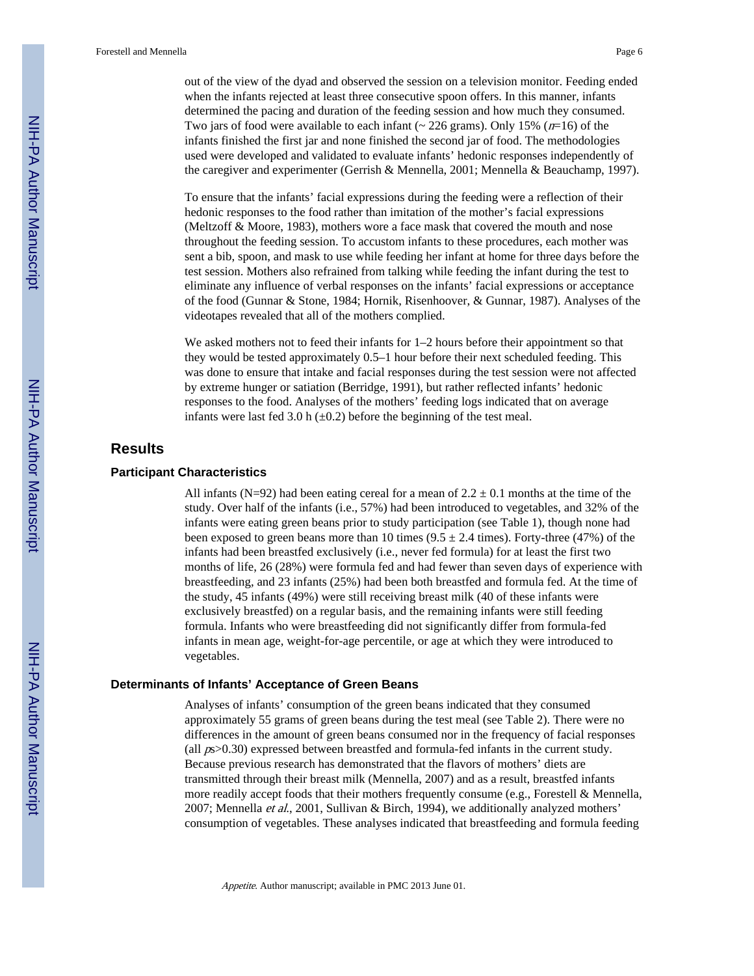out of the view of the dyad and observed the session on a television monitor. Feeding ended when the infants rejected at least three consecutive spoon offers. In this manner, infants determined the pacing and duration of the feeding session and how much they consumed. Two jars of food were available to each infant ( $\sim$  226 grams). Only 15% ( $n=16$ ) of the infants finished the first jar and none finished the second jar of food. The methodologies used were developed and validated to evaluate infants' hedonic responses independently of the caregiver and experimenter (Gerrish & Mennella, 2001; Mennella & Beauchamp, 1997).

To ensure that the infants' facial expressions during the feeding were a reflection of their hedonic responses to the food rather than imitation of the mother's facial expressions (Meltzoff & Moore, 1983), mothers wore a face mask that covered the mouth and nose throughout the feeding session. To accustom infants to these procedures, each mother was sent a bib, spoon, and mask to use while feeding her infant at home for three days before the test session. Mothers also refrained from talking while feeding the infant during the test to eliminate any influence of verbal responses on the infants' facial expressions or acceptance of the food (Gunnar & Stone, 1984; Hornik, Risenhoover, & Gunnar, 1987). Analyses of the videotapes revealed that all of the mothers complied.

We asked mothers not to feed their infants for 1–2 hours before their appointment so that they would be tested approximately 0.5–1 hour before their next scheduled feeding. This was done to ensure that intake and facial responses during the test session were not affected by extreme hunger or satiation (Berridge, 1991), but rather reflected infants' hedonic responses to the food. Analyses of the mothers' feeding logs indicated that on average infants were last fed 3.0 h  $(\pm 0.2)$  before the beginning of the test meal.

#### **Results**

#### **Participant Characteristics**

All infants (N=92) had been eating cereal for a mean of  $2.2 \pm 0.1$  months at the time of the study. Over half of the infants (i.e., 57%) had been introduced to vegetables, and 32% of the infants were eating green beans prior to study participation (see Table 1), though none had been exposed to green beans more than 10 times  $(9.5 \pm 2.4$  times). Forty-three  $(47%)$  of the infants had been breastfed exclusively (i.e., never fed formula) for at least the first two months of life, 26 (28%) were formula fed and had fewer than seven days of experience with breastfeeding, and 23 infants (25%) had been both breastfed and formula fed. At the time of the study, 45 infants (49%) were still receiving breast milk (40 of these infants were exclusively breastfed) on a regular basis, and the remaining infants were still feeding formula. Infants who were breastfeeding did not significantly differ from formula-fed infants in mean age, weight-for-age percentile, or age at which they were introduced to vegetables.

#### **Determinants of Infants' Acceptance of Green Beans**

Analyses of infants' consumption of the green beans indicated that they consumed approximately 55 grams of green beans during the test meal (see Table 2). There were no differences in the amount of green beans consumed nor in the frequency of facial responses (all  $ps > 0.30$ ) expressed between breastfed and formula-fed infants in the current study. Because previous research has demonstrated that the flavors of mothers' diets are transmitted through their breast milk (Mennella, 2007) and as a result, breastfed infants more readily accept foods that their mothers frequently consume (e.g., Forestell & Mennella, 2007; Mennella et al., 2001, Sullivan & Birch, 1994), we additionally analyzed mothers' consumption of vegetables. These analyses indicated that breastfeeding and formula feeding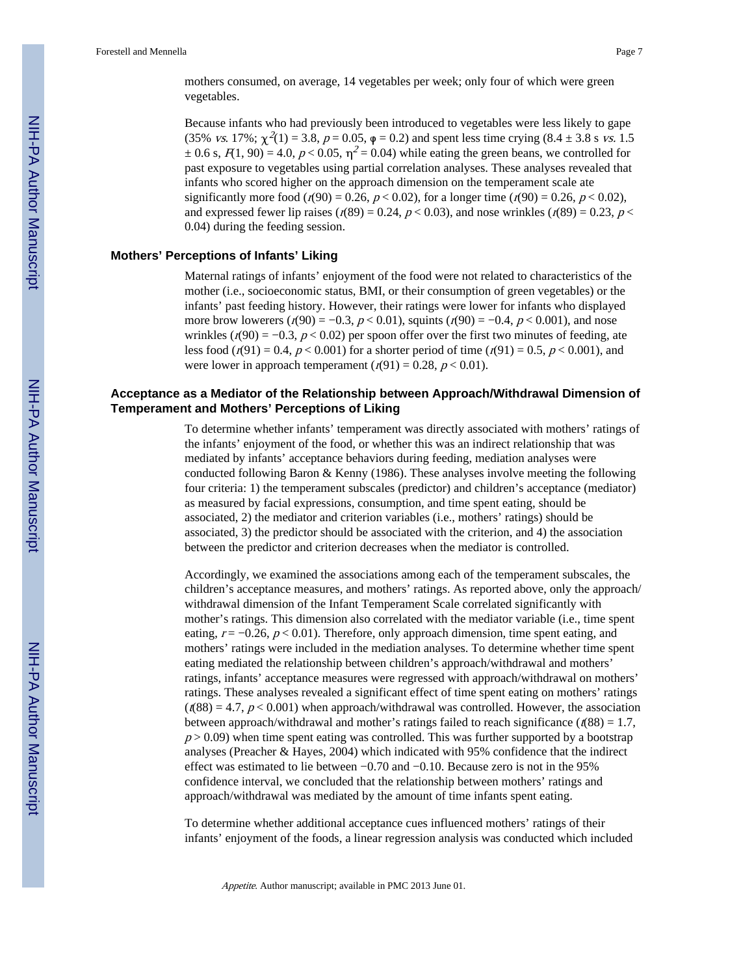Forestell and Mennella Page 7

mothers consumed, on average, 14 vegetables per week; only four of which were green vegetables.

Because infants who had previously been introduced to vegetables were less likely to gape (35% vs. 17%;  $\chi^2(1) = 3.8$ ,  $p = 0.05$ ,  $\varphi = 0.2$ ) and spent less time crying (8.4  $\pm$  3.8 s vs. 1.5  $\pm$  0.6 s,  $F(1, 90) = 4.0$ ,  $p < 0.05$ ,  $\eta^2 = 0.04$ ) while eating the green beans, we controlled for past exposure to vegetables using partial correlation analyses. These analyses revealed that infants who scored higher on the approach dimension on the temperament scale ate significantly more food ( $r(90) = 0.26$ ,  $p < 0.02$ ), for a longer time ( $r(90) = 0.26$ ,  $p < 0.02$ ), and expressed fewer lip raises ( $r(89) = 0.24$ ,  $p < 0.03$ ), and nose wrinkles ( $r(89) = 0.23$ ,  $p <$ 0.04) during the feeding session.

#### **Mothers' Perceptions of Infants' Liking**

Maternal ratings of infants' enjoyment of the food were not related to characteristics of the mother (i.e., socioeconomic status, BMI, or their consumption of green vegetables) or the infants' past feeding history. However, their ratings were lower for infants who displayed more brow lowerers  $(r(90) = -0.3, p < 0.01)$ , squints  $(r(90) = -0.4, p < 0.001)$ , and nose wrinkles  $(r(90) = -0.3, p < 0.02)$  per spoon offer over the first two minutes of feeding, ate less food ( $r(91) = 0.4$ ,  $p < 0.001$ ) for a shorter period of time ( $r(91) = 0.5$ ,  $p < 0.001$ ), and were lower in approach temperament  $(r(91) = 0.28, p < 0.01)$ .

#### **Acceptance as a Mediator of the Relationship between Approach/Withdrawal Dimension of Temperament and Mothers' Perceptions of Liking**

To determine whether infants' temperament was directly associated with mothers' ratings of the infants' enjoyment of the food, or whether this was an indirect relationship that was mediated by infants' acceptance behaviors during feeding, mediation analyses were conducted following Baron & Kenny (1986). These analyses involve meeting the following four criteria: 1) the temperament subscales (predictor) and children's acceptance (mediator) as measured by facial expressions, consumption, and time spent eating, should be associated, 2) the mediator and criterion variables (i.e., mothers' ratings) should be associated, 3) the predictor should be associated with the criterion, and 4) the association between the predictor and criterion decreases when the mediator is controlled.

Accordingly, we examined the associations among each of the temperament subscales, the children's acceptance measures, and mothers' ratings. As reported above, only the approach/ withdrawal dimension of the Infant Temperament Scale correlated significantly with mother's ratings. This dimension also correlated with the mediator variable (i.e., time spent eating,  $r = -0.26$ ,  $p < 0.01$ ). Therefore, only approach dimension, time spent eating, and mothers' ratings were included in the mediation analyses. To determine whether time spent eating mediated the relationship between children's approach/withdrawal and mothers' ratings, infants' acceptance measures were regressed with approach/withdrawal on mothers' ratings. These analyses revealed a significant effect of time spent eating on mothers' ratings  $(t(88)) = 4.7$ ,  $p < 0.001$ ) when approach/withdrawal was controlled. However, the association between approach/withdrawal and mother's ratings failed to reach significance ( $t(88) = 1.7$ ,  $p > 0.09$ ) when time spent eating was controlled. This was further supported by a bootstrap analyses (Preacher & Hayes, 2004) which indicated with 95% confidence that the indirect effect was estimated to lie between −0.70 and −0.10. Because zero is not in the 95% confidence interval, we concluded that the relationship between mothers' ratings and approach/withdrawal was mediated by the amount of time infants spent eating.

To determine whether additional acceptance cues influenced mothers' ratings of their infants' enjoyment of the foods, a linear regression analysis was conducted which included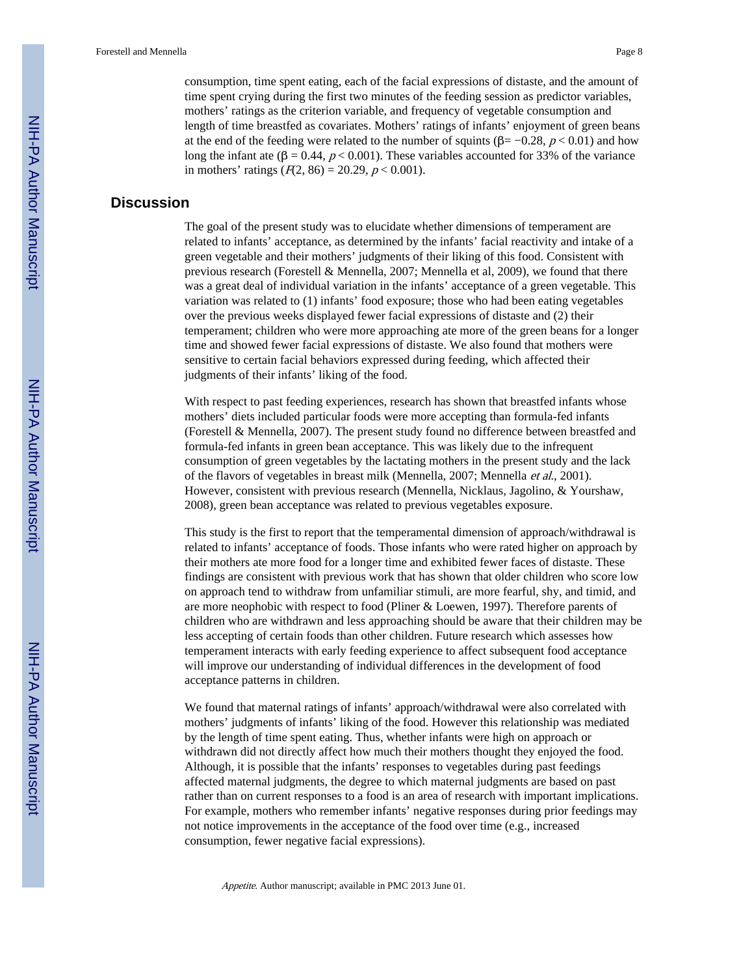### **Discussion**

The goal of the present study was to elucidate whether dimensions of temperament are related to infants' acceptance, as determined by the infants' facial reactivity and intake of a green vegetable and their mothers' judgments of their liking of this food. Consistent with previous research (Forestell & Mennella, 2007; Mennella et al, 2009), we found that there was a great deal of individual variation in the infants' acceptance of a green vegetable. This variation was related to (1) infants' food exposure; those who had been eating vegetables over the previous weeks displayed fewer facial expressions of distaste and (2) their temperament; children who were more approaching ate more of the green beans for a longer time and showed fewer facial expressions of distaste. We also found that mothers were sensitive to certain facial behaviors expressed during feeding, which affected their judgments of their infants' liking of the food.

With respect to past feeding experiences, research has shown that breastfed infants whose mothers' diets included particular foods were more accepting than formula-fed infants (Forestell & Mennella, 2007). The present study found no difference between breastfed and formula-fed infants in green bean acceptance. This was likely due to the infrequent consumption of green vegetables by the lactating mothers in the present study and the lack of the flavors of vegetables in breast milk (Mennella, 2007; Mennella et al., 2001). However, consistent with previous research (Mennella, Nicklaus, Jagolino, & Yourshaw, 2008), green bean acceptance was related to previous vegetables exposure.

This study is the first to report that the temperamental dimension of approach/withdrawal is related to infants' acceptance of foods. Those infants who were rated higher on approach by their mothers ate more food for a longer time and exhibited fewer faces of distaste. These findings are consistent with previous work that has shown that older children who score low on approach tend to withdraw from unfamiliar stimuli, are more fearful, shy, and timid, and are more neophobic with respect to food (Pliner & Loewen, 1997). Therefore parents of children who are withdrawn and less approaching should be aware that their children may be less accepting of certain foods than other children. Future research which assesses how temperament interacts with early feeding experience to affect subsequent food acceptance will improve our understanding of individual differences in the development of food acceptance patterns in children.

We found that maternal ratings of infants' approach/withdrawal were also correlated with mothers' judgments of infants' liking of the food. However this relationship was mediated by the length of time spent eating. Thus, whether infants were high on approach or withdrawn did not directly affect how much their mothers thought they enjoyed the food. Although, it is possible that the infants' responses to vegetables during past feedings affected maternal judgments, the degree to which maternal judgments are based on past rather than on current responses to a food is an area of research with important implications. For example, mothers who remember infants' negative responses during prior feedings may not notice improvements in the acceptance of the food over time (e.g., increased consumption, fewer negative facial expressions).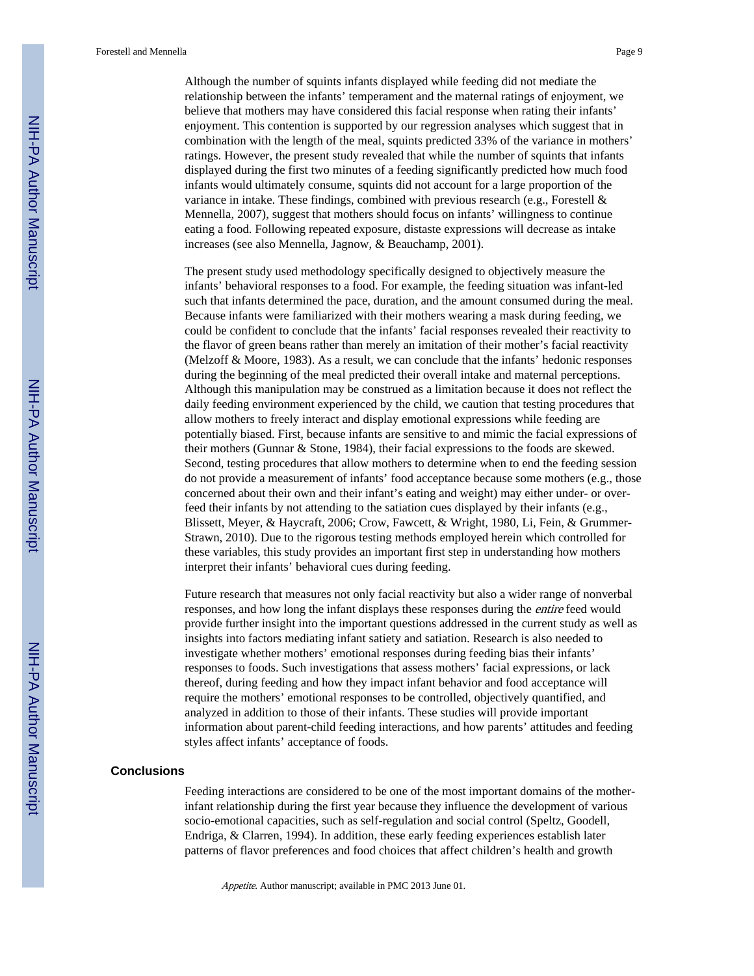Forestell and Mennella Page 9

Although the number of squints infants displayed while feeding did not mediate the relationship between the infants' temperament and the maternal ratings of enjoyment, we believe that mothers may have considered this facial response when rating their infants' enjoyment. This contention is supported by our regression analyses which suggest that in combination with the length of the meal, squints predicted 33% of the variance in mothers' ratings. However, the present study revealed that while the number of squints that infants displayed during the first two minutes of a feeding significantly predicted how much food infants would ultimately consume, squints did not account for a large proportion of the variance in intake. These findings, combined with previous research (e.g., Forestell & Mennella, 2007), suggest that mothers should focus on infants' willingness to continue eating a food. Following repeated exposure, distaste expressions will decrease as intake increases (see also Mennella, Jagnow, & Beauchamp, 2001).

The present study used methodology specifically designed to objectively measure the infants' behavioral responses to a food. For example, the feeding situation was infant-led such that infants determined the pace, duration, and the amount consumed during the meal. Because infants were familiarized with their mothers wearing a mask during feeding, we could be confident to conclude that the infants' facial responses revealed their reactivity to the flavor of green beans rather than merely an imitation of their mother's facial reactivity (Melzoff  $&$  Moore, 1983). As a result, we can conclude that the infants' hedonic responses during the beginning of the meal predicted their overall intake and maternal perceptions. Although this manipulation may be construed as a limitation because it does not reflect the daily feeding environment experienced by the child, we caution that testing procedures that allow mothers to freely interact and display emotional expressions while feeding are potentially biased. First, because infants are sensitive to and mimic the facial expressions of their mothers (Gunnar & Stone, 1984), their facial expressions to the foods are skewed. Second, testing procedures that allow mothers to determine when to end the feeding session do not provide a measurement of infants' food acceptance because some mothers (e.g., those concerned about their own and their infant's eating and weight) may either under- or overfeed their infants by not attending to the satiation cues displayed by their infants (e.g., Blissett, Meyer, & Haycraft, 2006; Crow, Fawcett, & Wright, 1980, Li, Fein, & Grummer-Strawn, 2010). Due to the rigorous testing methods employed herein which controlled for these variables, this study provides an important first step in understanding how mothers interpret their infants' behavioral cues during feeding.

Future research that measures not only facial reactivity but also a wider range of nonverbal responses, and how long the infant displays these responses during the entire feed would provide further insight into the important questions addressed in the current study as well as insights into factors mediating infant satiety and satiation. Research is also needed to investigate whether mothers' emotional responses during feeding bias their infants' responses to foods. Such investigations that assess mothers' facial expressions, or lack thereof, during feeding and how they impact infant behavior and food acceptance will require the mothers' emotional responses to be controlled, objectively quantified, and analyzed in addition to those of their infants. These studies will provide important information about parent-child feeding interactions, and how parents' attitudes and feeding styles affect infants' acceptance of foods.

#### **Conclusions**

Feeding interactions are considered to be one of the most important domains of the motherinfant relationship during the first year because they influence the development of various socio-emotional capacities, such as self-regulation and social control (Speltz, Goodell, Endriga, & Clarren, 1994). In addition, these early feeding experiences establish later patterns of flavor preferences and food choices that affect children's health and growth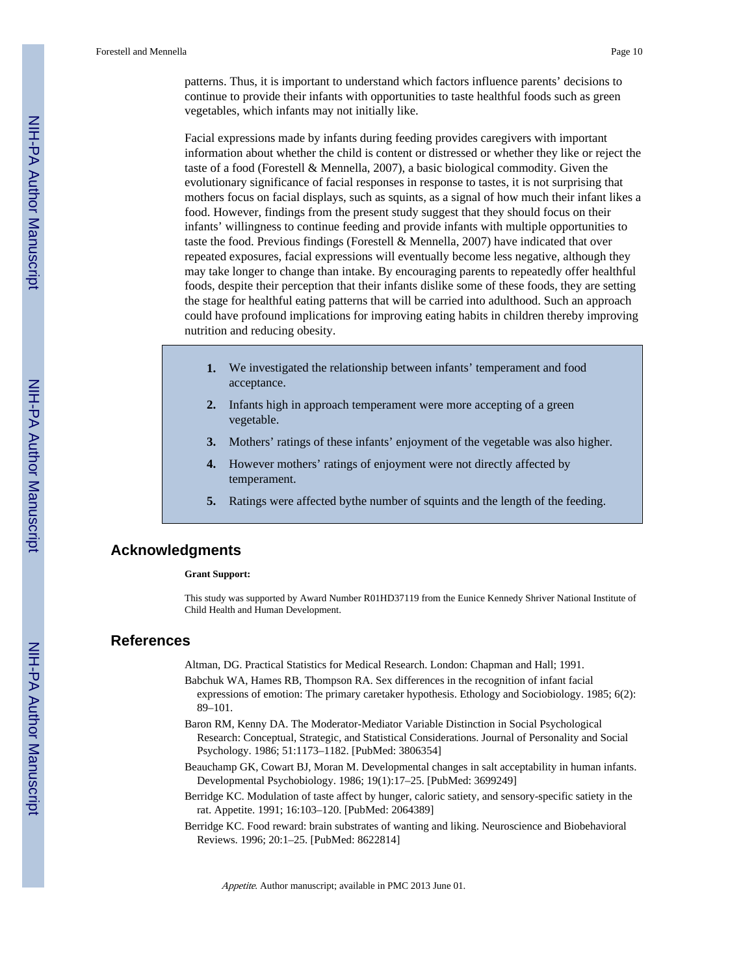patterns. Thus, it is important to understand which factors influence parents' decisions to continue to provide their infants with opportunities to taste healthful foods such as green vegetables, which infants may not initially like.

Facial expressions made by infants during feeding provides caregivers with important information about whether the child is content or distressed or whether they like or reject the taste of a food (Forestell & Mennella, 2007), a basic biological commodity. Given the evolutionary significance of facial responses in response to tastes, it is not surprising that mothers focus on facial displays, such as squints, as a signal of how much their infant likes a food. However, findings from the present study suggest that they should focus on their infants' willingness to continue feeding and provide infants with multiple opportunities to taste the food. Previous findings (Forestell & Mennella, 2007) have indicated that over repeated exposures, facial expressions will eventually become less negative, although they may take longer to change than intake. By encouraging parents to repeatedly offer healthful foods, despite their perception that their infants dislike some of these foods, they are setting the stage for healthful eating patterns that will be carried into adulthood. Such an approach could have profound implications for improving eating habits in children thereby improving nutrition and reducing obesity.

- **1.** We investigated the relationship between infants' temperament and food acceptance.
- **2.** Infants high in approach temperament were more accepting of a green vegetable.
- **3.** Mothers' ratings of these infants' enjoyment of the vegetable was also higher.
- **4.** However mothers' ratings of enjoyment were not directly affected by temperament.
- **5.** Ratings were affected bythe number of squints and the length of the feeding.

#### **Acknowledgments**

#### **Grant Support:**

This study was supported by Award Number R01HD37119 from the Eunice Kennedy Shriver National Institute of Child Health and Human Development.

#### **References**

Altman, DG. Practical Statistics for Medical Research. London: Chapman and Hall; 1991.

- Babchuk WA, Hames RB, Thompson RA. Sex differences in the recognition of infant facial expressions of emotion: The primary caretaker hypothesis. Ethology and Sociobiology. 1985; 6(2): 89–101.
- Baron RM, Kenny DA. The Moderator-Mediator Variable Distinction in Social Psychological Research: Conceptual, Strategic, and Statistical Considerations. Journal of Personality and Social Psychology. 1986; 51:1173–1182. [PubMed: 3806354]
- Beauchamp GK, Cowart BJ, Moran M. Developmental changes in salt acceptability in human infants. Developmental Psychobiology. 1986; 19(1):17–25. [PubMed: 3699249]
- Berridge KC. Modulation of taste affect by hunger, caloric satiety, and sensory-specific satiety in the rat. Appetite. 1991; 16:103–120. [PubMed: 2064389]
- Berridge KC. Food reward: brain substrates of wanting and liking. Neuroscience and Biobehavioral Reviews. 1996; 20:1–25. [PubMed: 8622814]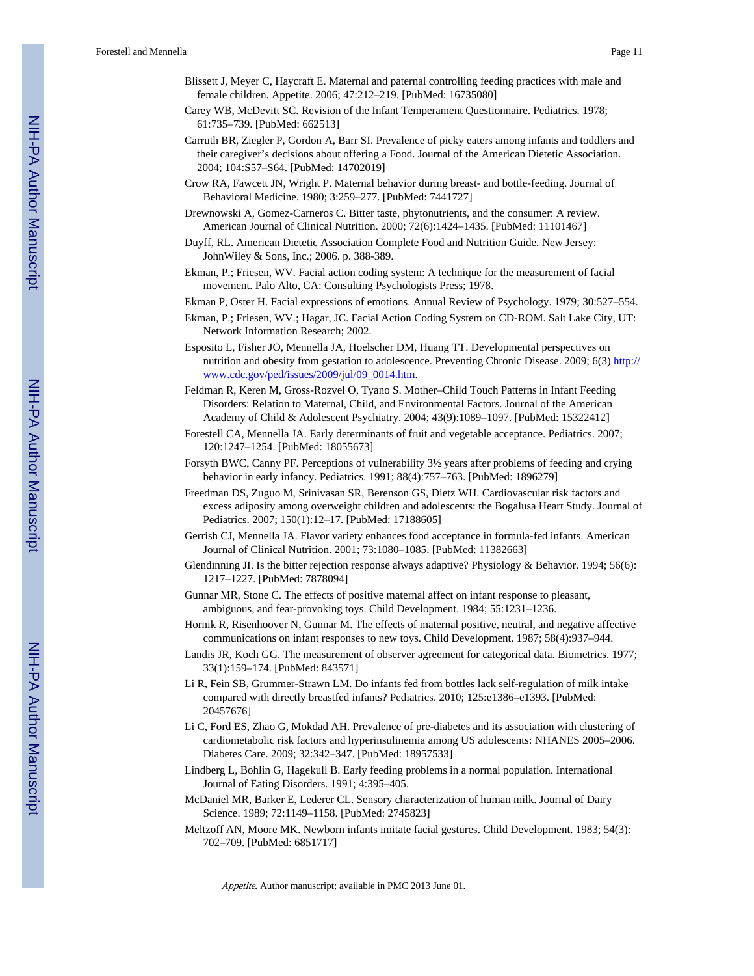- Blissett J, Meyer C, Haycraft E. Maternal and paternal controlling feeding practices with male and female children. Appetite. 2006; 47:212–219. [PubMed: 16735080]
- Carey WB, McDevitt SC. Revision of the Infant Temperament Questionnaire. Pediatrics. 1978; 61:735–739. [PubMed: 662513]
- Carruth BR, Ziegler P, Gordon A, Barr SI. Prevalence of picky eaters among infants and toddlers and their caregiver's decisions about offering a Food. Journal of the American Dietetic Association. 2004; 104:S57–S64. [PubMed: 14702019]
- Crow RA, Fawcett JN, Wright P. Maternal behavior during breast- and bottle-feeding. Journal of Behavioral Medicine. 1980; 3:259–277. [PubMed: 7441727]
- Drewnowski A, Gomez-Carneros C. Bitter taste, phytonutrients, and the consumer: A review. American Journal of Clinical Nutrition. 2000; 72(6):1424–1435. [PubMed: 11101467]
- Duyff, RL. American Dietetic Association Complete Food and Nutrition Guide. New Jersey: JohnWiley & Sons, Inc.; 2006. p. 388-389.
- Ekman, P.; Friesen, WV. Facial action coding system: A technique for the measurement of facial movement. Palo Alto, CA: Consulting Psychologists Press; 1978.
- Ekman P, Oster H. Facial expressions of emotions. Annual Review of Psychology. 1979; 30:527–554.
- Ekman, P.; Friesen, WV.; Hagar, JC. Facial Action Coding System on CD-ROM. Salt Lake City, UT: Network Information Research; 2002.
- Esposito L, Fisher JO, Mennella JA, Hoelscher DM, Huang TT. Developmental perspectives on nutrition and obesity from gestation to adolescence. Preventing Chronic Disease. 2009; 6(3) http:// www.cdc.gov/ped/issues/2009/jul/09\_0014.htm.
- Feldman R, Keren M, Gross-Rozvel O, Tyano S. Mother–Child Touch Patterns in Infant Feeding Disorders: Relation to Maternal, Child, and Environmental Factors. Journal of the American Academy of Child & Adolescent Psychiatry. 2004; 43(9):1089–1097. [PubMed: 15322412]
- Forestell CA, Mennella JA. Early determinants of fruit and vegetable acceptance. Pediatrics. 2007; 120:1247–1254. [PubMed: 18055673]
- Forsyth BWC, Canny PF. Perceptions of vulnerability 3½ years after problems of feeding and crying behavior in early infancy. Pediatrics. 1991; 88(4):757–763. [PubMed: 1896279]
- Freedman DS, Zuguo M, Srinivasan SR, Berenson GS, Dietz WH. Cardiovascular risk factors and excess adiposity among overweight children and adolescents: the Bogalusa Heart Study. Journal of Pediatrics. 2007; 150(1):12–17. [PubMed: 17188605]
- Gerrish CJ, Mennella JA. Flavor variety enhances food acceptance in formula-fed infants. American Journal of Clinical Nutrition. 2001; 73:1080–1085. [PubMed: 11382663]
- Glendinning JI. Is the bitter rejection response always adaptive? Physiology & Behavior. 1994; 56(6): 1217–1227. [PubMed: 7878094]
- Gunnar MR, Stone C. The effects of positive maternal affect on infant response to pleasant, ambiguous, and fear-provoking toys. Child Development. 1984; 55:1231–1236.
- Hornik R, Risenhoover N, Gunnar M. The effects of maternal positive, neutral, and negative affective communications on infant responses to new toys. Child Development. 1987; 58(4):937–944.
- Landis JR, Koch GG. The measurement of observer agreement for categorical data. Biometrics. 1977; 33(1):159–174. [PubMed: 843571]
- Li R, Fein SB, Grummer-Strawn LM. Do infants fed from bottles lack self-regulation of milk intake compared with directly breastfed infants? Pediatrics. 2010; 125:e1386–e1393. [PubMed: 20457676]
- Li C, Ford ES, Zhao G, Mokdad AH. Prevalence of pre-diabetes and its association with clustering of cardiometabolic risk factors and hyperinsulinemia among US adolescents: NHANES 2005–2006. Diabetes Care. 2009; 32:342–347. [PubMed: 18957533]
- Lindberg L, Bohlin G, Hagekull B. Early feeding problems in a normal population. International Journal of Eating Disorders. 1991; 4:395–405.
- McDaniel MR, Barker E, Lederer CL. Sensory characterization of human milk. Journal of Dairy Science. 1989; 72:1149–1158. [PubMed: 2745823]
- Meltzoff AN, Moore MK. Newborn infants imitate facial gestures. Child Development. 1983; 54(3): 702–709. [PubMed: 6851717]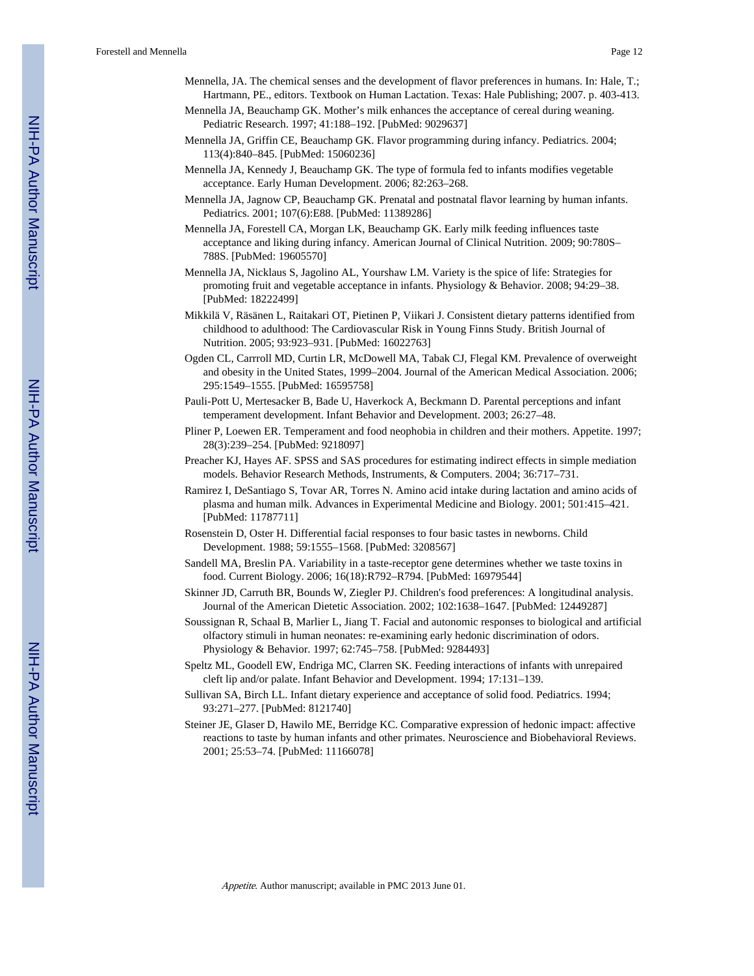- Mennella, JA. The chemical senses and the development of flavor preferences in humans. In: Hale, T.; Hartmann, PE., editors. Textbook on Human Lactation. Texas: Hale Publishing; 2007. p. 403-413.
- Mennella JA, Beauchamp GK. Mother's milk enhances the acceptance of cereal during weaning. Pediatric Research. 1997; 41:188–192. [PubMed: 9029637]
- Mennella JA, Griffin CE, Beauchamp GK. Flavor programming during infancy. Pediatrics. 2004; 113(4):840–845. [PubMed: 15060236]
- Mennella JA, Kennedy J, Beauchamp GK. The type of formula fed to infants modifies vegetable acceptance. Early Human Development. 2006; 82:263–268.
- Mennella JA, Jagnow CP, Beauchamp GK. Prenatal and postnatal flavor learning by human infants. Pediatrics. 2001; 107(6):E88. [PubMed: 11389286]
- Mennella JA, Forestell CA, Morgan LK, Beauchamp GK. Early milk feeding influences taste acceptance and liking during infancy. American Journal of Clinical Nutrition. 2009; 90:780S– 788S. [PubMed: 19605570]
- Mennella JA, Nicklaus S, Jagolino AL, Yourshaw LM. Variety is the spice of life: Strategies for promoting fruit and vegetable acceptance in infants. Physiology & Behavior. 2008; 94:29–38. [PubMed: 18222499]
- Mikkilä V, Räsänen L, Raitakari OT, Pietinen P, Viikari J. Consistent dietary patterns identified from childhood to adulthood: The Cardiovascular Risk in Young Finns Study. British Journal of Nutrition. 2005; 93:923–931. [PubMed: 16022763]
- Ogden CL, Carrroll MD, Curtin LR, McDowell MA, Tabak CJ, Flegal KM. Prevalence of overweight and obesity in the United States, 1999–2004. Journal of the American Medical Association. 2006; 295:1549–1555. [PubMed: 16595758]
- Pauli-Pott U, Mertesacker B, Bade U, Haverkock A, Beckmann D. Parental perceptions and infant temperament development. Infant Behavior and Development. 2003; 26:27–48.
- Pliner P, Loewen ER. Temperament and food neophobia in children and their mothers. Appetite. 1997; 28(3):239–254. [PubMed: 9218097]
- Preacher KJ, Hayes AF. SPSS and SAS procedures for estimating indirect effects in simple mediation models. Behavior Research Methods, Instruments, & Computers. 2004; 36:717–731.
- Ramirez I, DeSantiago S, Tovar AR, Torres N. Amino acid intake during lactation and amino acids of plasma and human milk. Advances in Experimental Medicine and Biology. 2001; 501:415–421. [PubMed: 11787711]
- Rosenstein D, Oster H. Differential facial responses to four basic tastes in newborns. Child Development. 1988; 59:1555–1568. [PubMed: 3208567]
- Sandell MA, Breslin PA. Variability in a taste-receptor gene determines whether we taste toxins in food. Current Biology. 2006; 16(18):R792–R794. [PubMed: 16979544]
- Skinner JD, Carruth BR, Bounds W, Ziegler PJ. Children's food preferences: A longitudinal analysis. Journal of the American Dietetic Association. 2002; 102:1638–1647. [PubMed: 12449287]
- Soussignan R, Schaal B, Marlier L, Jiang T. Facial and autonomic responses to biological and artificial olfactory stimuli in human neonates: re-examining early hedonic discrimination of odors. Physiology & Behavior. 1997; 62:745–758. [PubMed: 9284493]
- Speltz ML, Goodell EW, Endriga MC, Clarren SK. Feeding interactions of infants with unrepaired cleft lip and/or palate. Infant Behavior and Development. 1994; 17:131–139.
- Sullivan SA, Birch LL. Infant dietary experience and acceptance of solid food. Pediatrics. 1994; 93:271–277. [PubMed: 8121740]
- Steiner JE, Glaser D, Hawilo ME, Berridge KC. Comparative expression of hedonic impact: affective reactions to taste by human infants and other primates. Neuroscience and Biobehavioral Reviews. 2001; 25:53–74. [PubMed: 11166078]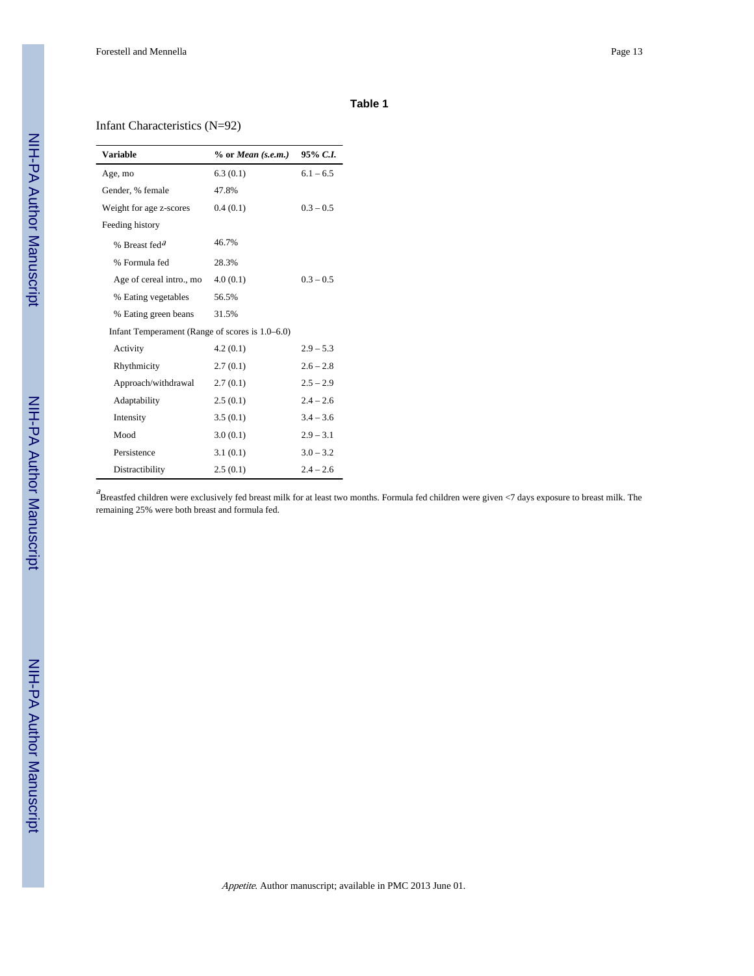#### **Table 1**

#### Infant Characteristics (N=92)

| <b>Variable</b>                                 | $%$ or <i>Mean</i> (s.e.m.) | 95% C.I.    |  |  |
|-------------------------------------------------|-----------------------------|-------------|--|--|
| Age, mo                                         | 6.3(0.1)                    | $6.1 - 6.5$ |  |  |
| Gender, % female                                | 47.8%                       |             |  |  |
| Weight for age z-scores                         | 0.4(0.1)                    | $0.3 - 0.5$ |  |  |
| Feeding history                                 |                             |             |  |  |
| % Breast fed <sup>a</sup>                       | 46.7%                       |             |  |  |
| % Formula fed                                   | 28.3%                       |             |  |  |
| Age of cereal intro., mo                        | 4.0(0.1)                    | $0.3 - 0.5$ |  |  |
| % Eating vegetables                             | 56.5%                       |             |  |  |
| % Eating green beans                            | 31.5%                       |             |  |  |
| Infant Temperament (Range of scores is 1.0–6.0) |                             |             |  |  |
| Activity                                        | 4.2(0.1)                    | $2.9 - 5.3$ |  |  |
| Rhythmicity                                     | 2.7(0.1)                    | $2.6 - 2.8$ |  |  |
| Approach/withdrawal                             | 2.7(0.1)                    | $2.5 - 2.9$ |  |  |
| Adaptability                                    | 2.5(0.1)                    | $2.4 - 2.6$ |  |  |
| Intensity                                       | 3.5(0.1)                    | $3.4 - 3.6$ |  |  |
| Mood                                            | 3.0(0.1)                    | $2.9 - 3.1$ |  |  |
| Persistence                                     | 3.1(0.1)                    | $3.0 - 3.2$ |  |  |
| Distractibility                                 | 2.5(0.1)                    | $2.4 - 2.6$ |  |  |

 $a_B^2$ Breastfed children were exclusively fed breast milk for at least two months. Formula fed children were given <7 days exposure to breast milk. The remaining 25% were both breast and formula fed.